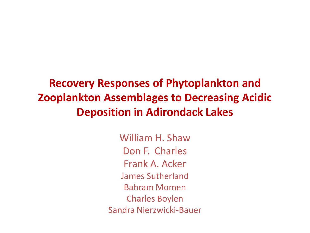**Recovery Responses of Phytoplankton and Zooplankton Assemblages to Decreasing Acidic Deposition in Adirondack Lakes**

> William H. Shaw Don F. Charles Frank A. Acker James Sutherland Bahram Momen Charles Boylen Sandra Nierzwicki-Bauer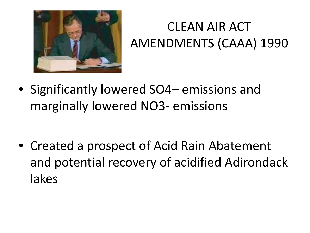

### CLEAN AIR ACT AMENDMENTS (CAAA) 1990

• Significantly lowered SO4– emissions and marginally lowered NO3- emissions

• Created a prospect of Acid Rain Abatement and potential recovery of acidified Adirondack lakes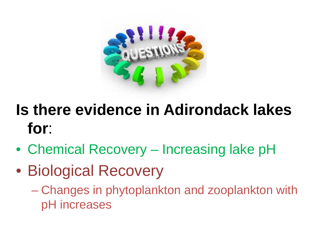

## **Is there evidence in Adirondack lakes for**:

- Chemical Recovery Increasing lake pH
- Biological Recovery
	- Changes in phytoplankton and zooplankton with pH increases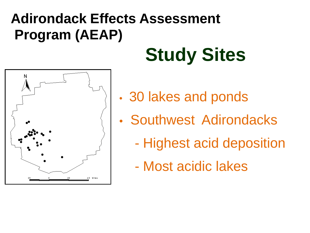### **Adirondack Effects Assessment Program (AEAP)**



# **Study Sites**

- 30 lakes and ponds
- Southwest Adirondacks
	- Highest acid deposition
	- Most acidic lakes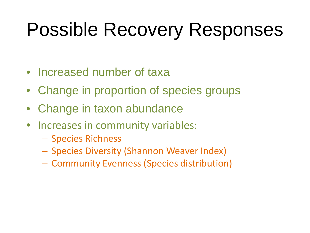# Possible Recovery Responses

- Increased number of taxa
- Change in proportion of species groups
- Change in taxon abundance
- Increases in community variables:
	- Species Richness
	- Species Diversity (Shannon Weaver Index)
	- Community Evenness (Species distribution)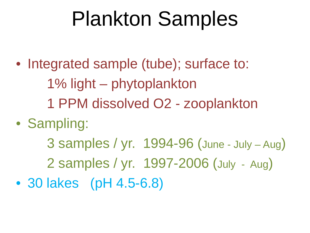# Plankton Samples

- Integrated sample (tube); surface to:
	- 1% light phytoplankton
	- 1 PPM dissolved O2 zooplankton
- Sampling:
	- 3 samples / yr. 1994-96 (June July Aug)
	- 2 samples / yr. 1997-2006 (July Aug)
- 30 lakes (pH 4.5-6.8)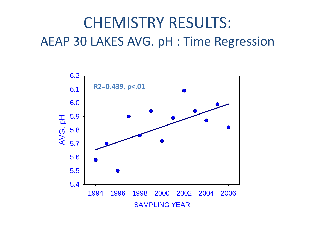### CHEMISTRY RESULTS: AEAP 30 LAKES AVG. pH : Time Regression

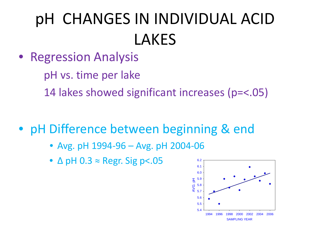# pH CHANGES IN INDIVIDUAL ACID LAKES

- Regression Analysis
	- pH vs. time per lake
	- 14 lakes showed significant increases (p=<.05)
- pH Difference between beginning & end
	- Avg. pH 1994-96 Avg. pH 2004-06
	- ∆ pH 0.3 ≈ Regr. Sig p<.05

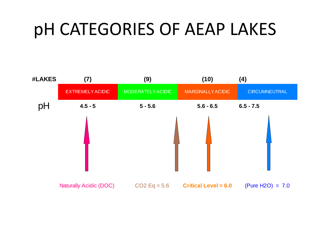# pH CATEGORIES OF AEAP LAKES

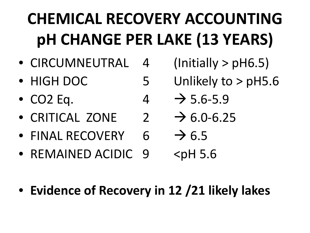# **CHEMICAL RECOVERY ACCOUNTING pH CHANGE PER LAKE (13 YEARS)**

- CIRCUMNEUTRAL 4 (Initially > pH6.5)
- HIGH DOC 5 Unlikely to > pH5.6
- CO2 Eq. 4  $\rightarrow$  5.6-5.9
- CRITICAL ZONE  $2 \rightarrow 6.0 6.25$
- FINAL RECOVERY  $6 \rightarrow 6.5$
- REMAINED ACIDIC 9 <pH 5.6
- **Evidence of Recovery in 12 /21 likely lakes**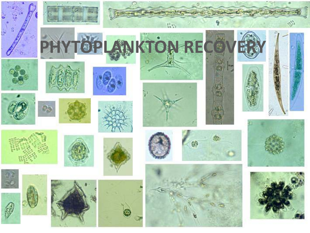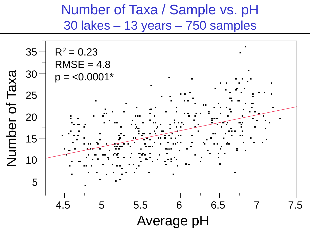### Number of Taxa / Sample vs. pH 30 lakes – 13 years – 750 samples

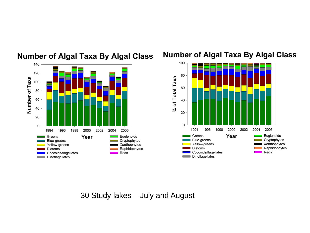

#### **Number of Algal Taxa By Algal Class**

#### **Number of Algal Taxa By Algal Class**



30 Study lakes – July and August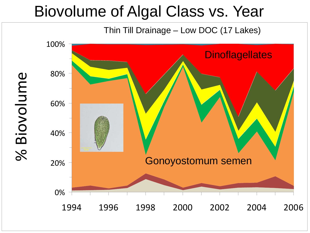### Biovolume of Algal Class vs. Year

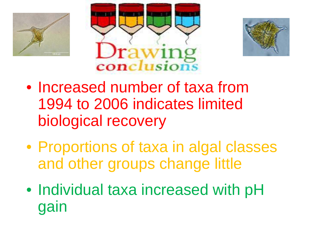





- Increased number of taxa from 1994 to 2006 indicates limited biological recovery
- Proportions of taxa in algal classes and other groups change little
- Individual taxa increased with pH gain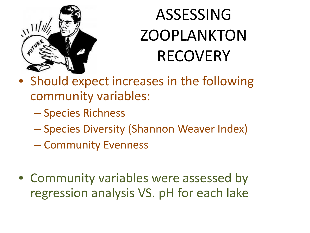

# ASSESSING ZOOPLANKTON RECOVERY

- Should expect increases in the following community variables:
	- Species Richness
	- Species Diversity (Shannon Weaver Index)
	- Community Evenness
- Community variables were assessed by regression analysis VS. pH for each lake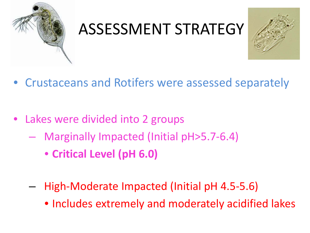

## ASSESSMENT STRATEGY



- Crustaceans and Rotifers were assessed separately
- Lakes were divided into 2 groups
	- Marginally Impacted (Initial pH>5.7-6.4)
		- **Critical Level (pH 6.0)**
	- High-Moderate Impacted (Initial pH 4.5-5.6)
		- Includes extremely and moderately acidified lakes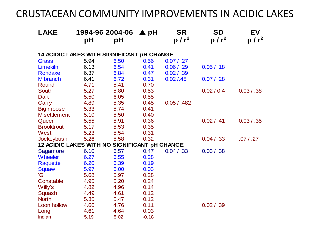### CRUSTACEAN COMMUNITY IMPROVEMENTS IN ACIDIC LAKES

| <b>LAKE</b>                                   | рH   | 1994-96 2004-06<br>рH | $\blacktriangle$ pH | <b>SR</b><br>$p/r^2$ | <b>SD</b><br>$p/r^2$ | EV<br>p / r <sup>2</sup> |
|-----------------------------------------------|------|-----------------------|---------------------|----------------------|----------------------|--------------------------|
| 14 ACIDIC LAKES WITH SIGNIFICANT pH CHANGE    |      |                       |                     |                      |                      |                          |
| <b>Grass</b>                                  | 5.94 | 6.50                  | 0.56                | 0.07 / .27           |                      |                          |
| Limekiln                                      | 6.13 | 6.54                  | 0.41                | 0.06 / .29           | 0.05 / .18           |                          |
| Rondaxe                                       | 6.37 | 6.84                  | 0.47                | 0.02 / .39           |                      |                          |
| <b>M</b> branch                               | 6.41 | 6.72                  | 0.31                | 0.02 / .45           | 0.07 / .28           |                          |
| Round                                         | 4.71 | 5.41                  | 0.70                |                      |                      |                          |
| <b>South</b>                                  | 5.27 | 5.80                  | 0.53                |                      | 0.02 / 0.4           | 0.03 / .38               |
| Dart                                          | 5.50 | 6.05                  | 0.55                |                      |                      |                          |
| Carry                                         | 4.89 | 5.35                  | 0.45                | 0.05 / .482          |                      |                          |
| <b>Big moose</b>                              | 5.33 | 5.74                  | 0.41                |                      |                      |                          |
| M settlement                                  | 5.10 | 5.50                  | 0.40                |                      |                      |                          |
| Queer                                         | 5.55 | 5.91                  | 0.36                |                      | 0.02 / .41           | 0.03 / .35               |
| <b>Brooktrout</b>                             | 5.17 | 5.53                  | 0.35                |                      |                      |                          |
| West                                          | 5.23 | 5.54                  | 0.31                |                      |                      |                          |
| Jockeybush                                    | 5.26 | 5.58                  | 0.32                |                      | 0.04 / .33           | .07 / .27                |
| 12 ACIDIC LAKES WITH NO SIGNIFICANT pH CHANGE |      |                       |                     |                      |                      |                          |
| Sagamore                                      | 6.10 | 6.57                  | 0.47                | 0.04 / .33           | 0.03 / .38           |                          |
| <b>Wheeler</b>                                | 6.27 | 6.55                  | 0.28                |                      |                      |                          |
| Raquette                                      | 6.20 | 6.39                  | 0.19                |                      |                      |                          |
| Squaw                                         | 5.97 | 6.00                  | 0.03                |                      |                      |                          |
| 'G'                                           | 5.68 | 5.97                  | 0.28                |                      |                      |                          |
| Constable                                     | 4.95 | 5.20                  | 0.24                |                      |                      |                          |
| Willy's                                       | 4.82 | 4.96                  | 0.14                |                      |                      |                          |
| Squash                                        | 4.49 | 4.61                  | 0.12                |                      |                      |                          |
| <b>North</b>                                  | 5.35 | 5.47                  | 0.12                |                      |                      |                          |
| Loon hollow                                   | 4.66 | 4.76                  | 0.11                |                      | 0.02 / .39           |                          |
| Long                                          | 4.61 | 4.64                  | 0.03                |                      |                      |                          |
| Indian                                        | 5.19 | 5.02                  | $-0.18$             |                      |                      |                          |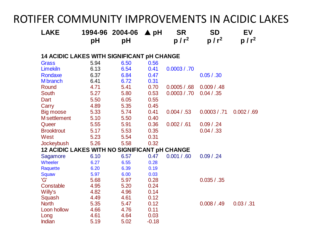### ROTIFER COMMUNITY IMPROVEMENTS IN ACIDIC LAKES

| <b>LAKE</b>                                       | 1994-96<br>рH | 2004-06<br>pH | ▲ pH    | <b>SR</b><br>$p/r^2$ | <b>SD</b><br>$p/r^2$ | EV<br>$p/r^2$ |  |  |  |  |  |
|---------------------------------------------------|---------------|---------------|---------|----------------------|----------------------|---------------|--|--|--|--|--|
|                                                   |               |               |         |                      |                      |               |  |  |  |  |  |
| <b>14 ACIDIC LAKES WITH SIGNIFICANT pH CHANGE</b> |               |               |         |                      |                      |               |  |  |  |  |  |
| Grass                                             | 5.94          | 6.50          | 0.56    |                      |                      |               |  |  |  |  |  |
| <b>Limekiln</b>                                   | 6.13          | 6.54          | 0.41    | 0.0003 / .70         |                      |               |  |  |  |  |  |
| Rondaxe                                           | 6.37          | 6.84          | 0.47    |                      | 0.05 / .30           |               |  |  |  |  |  |
| <b>M</b> branch                                   | 6.41          | 6.72          | 0.31    |                      |                      |               |  |  |  |  |  |
| Round                                             | 4.71          | 5.41          | 0.70    | 0.0005 / .68         | 0.009 / .48          |               |  |  |  |  |  |
| <b>South</b>                                      | 5.27          | 5.80          | 0.53    | 0.0003 / .70         | 0.04 / .35           |               |  |  |  |  |  |
| Dart                                              | 5.50          | 6.05          | 0.55    |                      |                      |               |  |  |  |  |  |
| Carry                                             | 4.89          | 5.35          | 0.45    |                      |                      |               |  |  |  |  |  |
| Big moose                                         | 5.33          | 5.74          | 0.41    | 0.004 / .53          | 0.0003 / .71         | 0.002 / .69   |  |  |  |  |  |
| <b>M</b> settlement                               | 5.10          | 5.50          | 0.40    |                      |                      |               |  |  |  |  |  |
| Queer                                             | 5.55          | 5.91          | 0.36    | 0.002 / .61          | 0.09 / .24           |               |  |  |  |  |  |
| <b>Brooktrout</b>                                 | 5.17          | 5.53          | 0.35    |                      | 0.04 / .33           |               |  |  |  |  |  |
| West                                              | 5.23          | 5.54          | 0.31    |                      |                      |               |  |  |  |  |  |
| Jockeybush                                        | 5.26          | 5.58          | 0.32    |                      |                      |               |  |  |  |  |  |
| 12 ACIDIC LAKES WITH NO SIGNIFICANT pH CHANGE     |               |               |         |                      |                      |               |  |  |  |  |  |
| Sagamore                                          | 6.10          | 6.57          | 0.47    | 0.001 / .60          | 0.09 / .24           |               |  |  |  |  |  |
| Wheeler                                           | 6.27          | 6.55          | 0.28    |                      |                      |               |  |  |  |  |  |
| Raquette                                          | 6.20          | 6.39          | 0.19    |                      |                      |               |  |  |  |  |  |
| Squaw                                             | 5.97          | 6.00          | 0.03    |                      |                      |               |  |  |  |  |  |
| 'G'                                               | 5.68          | 5.97          | 0.28    |                      | 0.035 / .35          |               |  |  |  |  |  |
| Constable                                         | 4.95          | 5.20          | 0.24    |                      |                      |               |  |  |  |  |  |
| Willy's                                           | 4.82          | 4.96          | 0.14    |                      |                      |               |  |  |  |  |  |
| Squash                                            | 4.49          | 4.61          | 0.12    |                      |                      |               |  |  |  |  |  |
| <b>North</b>                                      | 5.35          | 5.47          | 0.12    |                      | 0.008 / .49          | 0.03 / .31    |  |  |  |  |  |
| Loon hollow                                       | 4.66          | 4.76          | 0.11    |                      |                      |               |  |  |  |  |  |
| Long                                              | 4.61          | 4.64          | 0.03    |                      |                      |               |  |  |  |  |  |
| <b>Indian</b>                                     | 5.19          | 5.02          | $-0.18$ |                      |                      |               |  |  |  |  |  |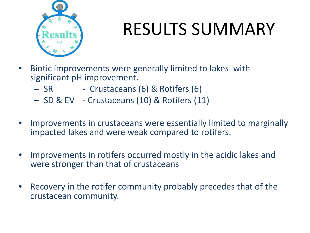

# RESULTS SUMMARY

- Biotic improvements were generally limited to lakes with significant pH improvement.
	- SR Crustaceans (6) & Rotifers (6)
	- SD & EV Crustaceans (10) & Rotifers (11)
- Improvements in crustaceans were essentially limited to marginally impacted lakes and were weak compared to rotifers.
- Improvements in rotifers occurred mostly in the acidic lakes and were stronger than that of crustaceans
- Recovery in the rotifer community probably precedes that of the crustacean community.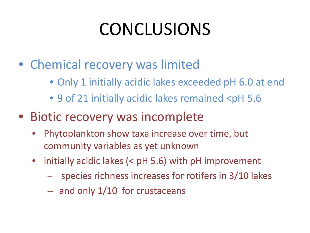# CONCLUSIONS

- Chemical recovery was limited
	- Only 1 initially acidic lakes exceeded pH 6.0 at end
	- 9 of 21 initially acidic lakes remained <pH 5.6
- Biotic recovery was incomplete
	- Phytoplankton show taxa increase over time, but community variables as yet unknown
	- initially acidic lakes (< pH 5.6) with pH improvement
		- species richness increases for rotifers in 3/10 lakes
		- and only 1/10 for crustaceans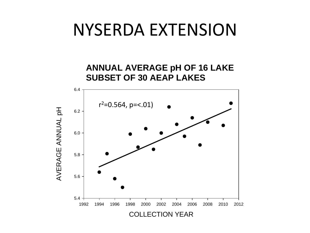### NYSERDA EXTENSION

**ANNUAL AVERAGE pH OF 16 LAKE SUBSET OF 30 AEAP LAKES**